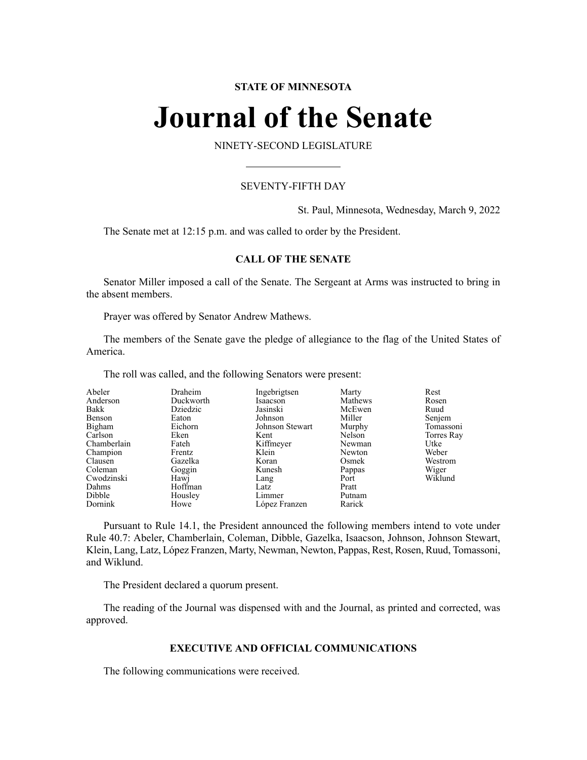# **STATE OF MINNESOTA**

# **Journal of the Senate**

NINETY-SECOND LEGISLATURE

# SEVENTY-FIFTH DAY

St. Paul, Minnesota, Wednesday, March 9, 2022

The Senate met at 12:15 p.m. and was called to order by the President.

# **CALL OF THE SENATE**

Senator Miller imposed a call of the Senate. The Sergeant at Arms was instructed to bring in the absent members.

Prayer was offered by Senator Andrew Mathews.

The members of the Senate gave the pledge of allegiance to the flag of the United States of America.

The roll was called, and the following Senators were present:

| Abeler<br>Anderson<br>Bakk<br>Benson<br>Bigham<br>Carlson<br>Chamberlain<br>Champion<br>Clausen | Draheim<br>Duckworth<br>Dziedzic<br>Eaton<br>Eichorn<br>Eken<br>Fateh<br>Frentz<br>Gazelka | Ingebrigtsen<br>Isaacson<br>Jasinski<br>Johnson<br>Johnson Stewart<br>Kent<br>Kiffmeyer<br>Klein<br>Koran | Marty<br>Mathews<br>McEwen<br>Miller<br>Murphy<br>Nelson<br>Newman<br>Newton<br>Osmek | Rest<br>Rosen<br>Ruud<br>Senjem<br>Tomassoni<br>Torres Ray<br>Utke<br>Weber<br>Westrom |
|-------------------------------------------------------------------------------------------------|--------------------------------------------------------------------------------------------|-----------------------------------------------------------------------------------------------------------|---------------------------------------------------------------------------------------|----------------------------------------------------------------------------------------|
|                                                                                                 |                                                                                            |                                                                                                           |                                                                                       |                                                                                        |
|                                                                                                 |                                                                                            |                                                                                                           |                                                                                       |                                                                                        |
|                                                                                                 |                                                                                            |                                                                                                           |                                                                                       |                                                                                        |
|                                                                                                 |                                                                                            |                                                                                                           |                                                                                       |                                                                                        |
| Coleman                                                                                         | Goggin                                                                                     | Kunesh                                                                                                    | Pappas                                                                                | Wiger                                                                                  |
| Cwodzinski                                                                                      | Hawj                                                                                       | Lang                                                                                                      | Port                                                                                  | Wiklund                                                                                |
| Dahms                                                                                           | Hoffman                                                                                    | Latz                                                                                                      | Pratt                                                                                 |                                                                                        |
| Dibble                                                                                          | Housley                                                                                    | Limmer                                                                                                    | Putnam                                                                                |                                                                                        |
| Dornink                                                                                         | Howe                                                                                       | López Franzen                                                                                             | Rarick                                                                                |                                                                                        |

Pursuant to Rule 14.1, the President announced the following members intend to vote under Rule 40.7: Abeler, Chamberlain, Coleman, Dibble, Gazelka, Isaacson, Johnson, Johnson Stewart, Klein, Lang, Latz, López Franzen, Marty, Newman, Newton, Pappas, Rest, Rosen, Ruud, Tomassoni, and Wiklund.

The President declared a quorum present.

The reading of the Journal was dispensed with and the Journal, as printed and corrected, was approved.

# **EXECUTIVE AND OFFICIAL COMMUNICATIONS**

The following communications were received.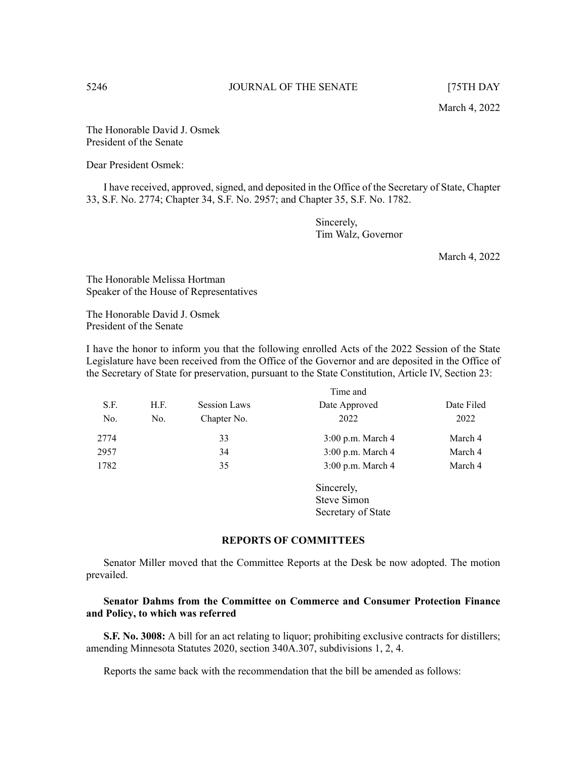March 4, 2022

The Honorable David J. Osmek President of the Senate

Dear President Osmek:

I have received, approved, signed, and deposited in the Office of the Secretary of State, Chapter 33, S.F. No. 2774; Chapter 34, S.F. No. 2957; and Chapter 35, S.F. No. 1782.

> Sincerely, Tim Walz, Governor

> > March 4, 2022

The Honorable Melissa Hortman Speaker of the House of Representatives

The Honorable David J. Osmek President of the Senate

I have the honor to inform you that the following enrolled Acts of the 2022 Session of the State Legislature have been received from the Office of the Governor and are deposited in the Office of the Secretary of State for preservation, pursuant to the State Constitution, Article IV, Section 23:

|      |                             | Time and    |                   |            |  |  |  |  |  |  |
|------|-----------------------------|-------------|-------------------|------------|--|--|--|--|--|--|
| S.F. | <b>Session Laws</b><br>H.F. |             | Date Approved     | Date Filed |  |  |  |  |  |  |
| No.  | No.                         | Chapter No. | 2022              | 2022       |  |  |  |  |  |  |
| 2774 |                             | 33          | 3:00 p.m. March 4 | March 4    |  |  |  |  |  |  |
| 2957 |                             | 34          | 3:00 p.m. March 4 | March 4    |  |  |  |  |  |  |
| 1782 |                             | 35          | 3:00 p.m. March 4 | March 4    |  |  |  |  |  |  |
|      |                             |             | Sincerely,        |            |  |  |  |  |  |  |

**REPORTS OF COMMITTEES**

Steve Simon Secretary of State

Senator Miller moved that the Committee Reports at the Desk be now adopted. The motion prevailed.

# **Senator Dahms from the Committee on Commerce and Consumer Protection Finance and Policy, to which was referred**

**S.F. No. 3008:** A bill for an act relating to liquor; prohibiting exclusive contracts for distillers; amending Minnesota Statutes 2020, section 340A.307, subdivisions 1, 2, 4.

Reports the same back with the recommendation that the bill be amended as follows: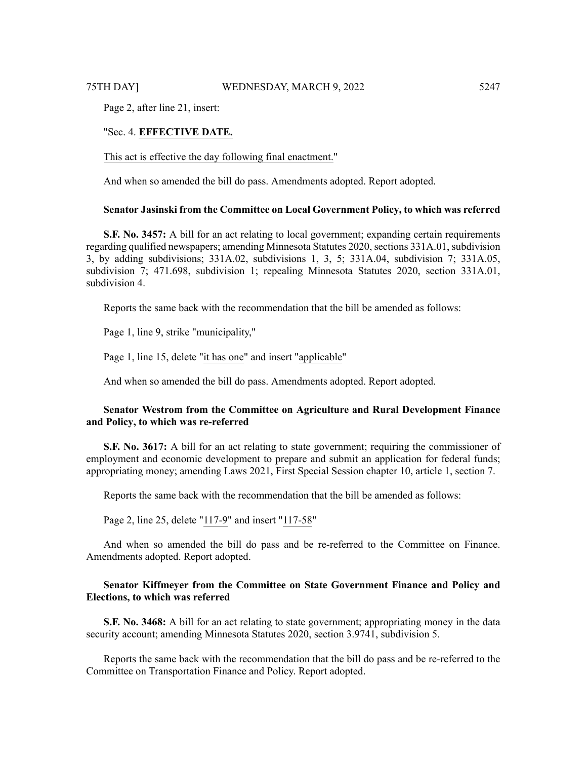Page 2, after line 21, insert:

# "Sec. 4. **EFFECTIVE DATE.**

This act is effective the day following final enactment."

And when so amended the bill do pass. Amendments adopted. Report adopted.

### **Senator Jasinski from the Committee on Local Government Policy, to which was referred**

**S.F. No. 3457:** A bill for an act relating to local government; expanding certain requirements regarding qualified newspapers; amending Minnesota Statutes 2020, sections 331A.01, subdivision 3, by adding subdivisions; 331A.02, subdivisions 1, 3, 5; 331A.04, subdivision 7; 331A.05, subdivision 7; 471.698, subdivision 1; repealing Minnesota Statutes 2020, section 331A.01, subdivision 4.

Reports the same back with the recommendation that the bill be amended as follows:

Page 1, line 9, strike "municipality,"

Page 1, line 15, delete "it has one" and insert "applicable"

And when so amended the bill do pass. Amendments adopted. Report adopted.

# **Senator Westrom from the Committee on Agriculture and Rural Development Finance and Policy, to which was re-referred**

**S.F. No. 3617:** A bill for an act relating to state government; requiring the commissioner of employment and economic development to prepare and submit an application for federal funds; appropriating money; amending Laws 2021, First Special Session chapter 10, article 1, section 7.

Reports the same back with the recommendation that the bill be amended as follows:

Page 2, line 25, delete "117-9" and insert "117-58"

And when so amended the bill do pass and be re-referred to the Committee on Finance. Amendments adopted. Report adopted.

# **Senator Kiffmeyer from the Committee on State Government Finance and Policy and Elections, to which was referred**

**S.F. No. 3468:** A bill for an act relating to state government; appropriating money in the data security account; amending Minnesota Statutes 2020, section 3.9741, subdivision 5.

Reports the same back with the recommendation that the bill do pass and be re-referred to the Committee on Transportation Finance and Policy. Report adopted.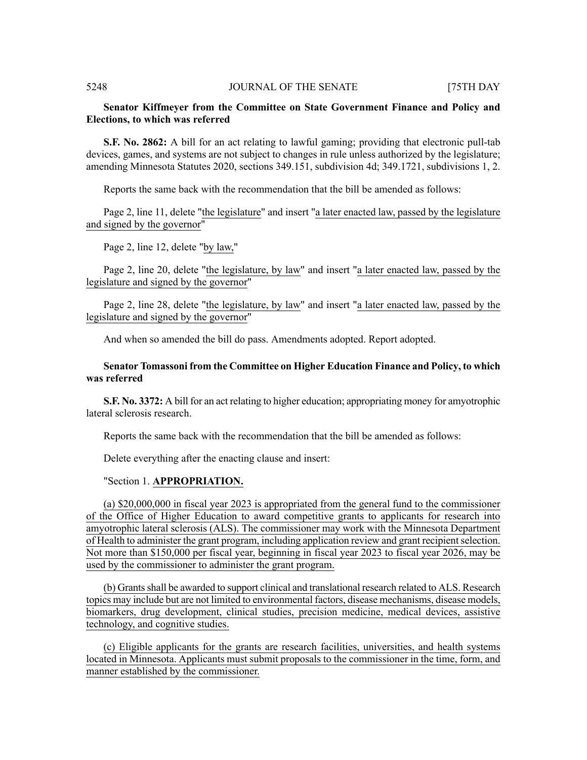# **Senator Kiffmeyer from the Committee on State Government Finance and Policy and Elections, to which was referred**

**S.F. No. 2862:** A bill for an act relating to lawful gaming; providing that electronic pull-tab devices, games, and systems are not subject to changes in rule unless authorized by the legislature; amending Minnesota Statutes 2020, sections 349.151, subdivision 4d; 349.1721, subdivisions 1, 2.

Reports the same back with the recommendation that the bill be amended as follows:

Page 2, line 11, delete "the legislature" and insert "a later enacted law, passed by the legislature and signed by the governor"

Page 2, line 12, delete "by law,"

Page 2, line 20, delete "the legislature, by law" and insert "a later enacted law, passed by the legislature and signed by the governor"

Page 2, line 28, delete "the legislature, by law" and insert "a later enacted law, passed by the legislature and signed by the governor"

And when so amended the bill do pass. Amendments adopted. Report adopted.

# **Senator Tomassoni from the Committee on Higher Education Finance and Policy, to which was referred**

**S.F. No. 3372:** A bill for an act relating to higher education; appropriating money for amyotrophic lateral sclerosis research.

Reports the same back with the recommendation that the bill be amended as follows:

Delete everything after the enacting clause and insert:

### "Section 1. **APPROPRIATION.**

(a) \$20,000,000 in fiscal year 2023 is appropriated from the general fund to the commissioner of the Office of Higher Education to award competitive grants to applicants for research into amyotrophic lateral sclerosis (ALS). The commissioner may work with the Minnesota Department of Health to administer the grant program, including application review and grant recipientselection. Not more than \$150,000 per fiscal year, beginning in fiscal year 2023 to fiscal year 2026, may be used by the commissioner to administer the grant program.

(b) Grants shall be awarded to support clinical and translational research related to ALS. Research topics may include but are not limited to environmental factors, disease mechanisms, disease models, biomarkers, drug development, clinical studies, precision medicine, medical devices, assistive technology, and cognitive studies.

(c) Eligible applicants for the grants are research facilities, universities, and health systems located in Minnesota. Applicants must submit proposals to the commissioner in the time, form, and manner established by the commissioner.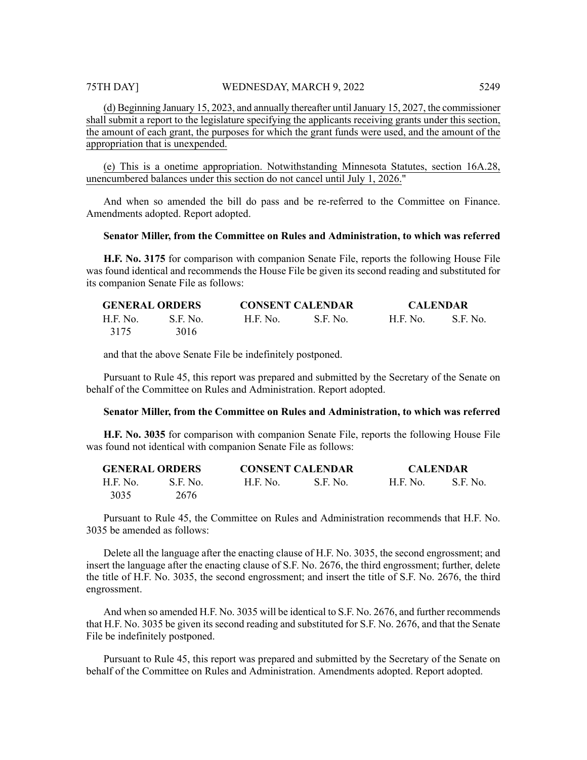(d) Beginning January 15, 2023, and annually thereafter untilJanuary 15, 2027, the commissioner shall submit a report to the legislature specifying the applicants receiving grants under this section, the amount of each grant, the purposes for which the grant funds were used, and the amount of the appropriation that is unexpended.

(e) This is a onetime appropriation. Notwithstanding Minnesota Statutes, section 16A.28, unencumbered balances under this section do not cancel until July 1, 2026."

And when so amended the bill do pass and be re-referred to the Committee on Finance. Amendments adopted. Report adopted.

### **Senator Miller, from the Committee on Rules and Administration, to which was referred**

**H.F. No. 3175** for comparison with companion Senate File, reports the following House File was found identical and recommends the House File be given its second reading and substituted for its companion Senate File as follows:

| <b>GENERAL ORDERS</b> |           | <b>CONSENT CALENDAR</b> |           | <b>CALENDAR</b> |            |  |  |  |  |
|-----------------------|-----------|-------------------------|-----------|-----------------|------------|--|--|--|--|
| H.F. No.              | -S.E. No. | H.F. No.                | -S.F. No. | H.F. No.        | - S.F. No. |  |  |  |  |
| 3175                  | 3016      |                         |           |                 |            |  |  |  |  |

and that the above Senate File be indefinitely postponed.

Pursuant to Rule 45, this report was prepared and submitted by the Secretary of the Senate on behalf of the Committee on Rules and Administration. Report adopted.

# **Senator Miller, from the Committee on Rules and Administration, to which was referred**

**H.F. No. 3035** for comparison with companion Senate File, reports the following House File was found not identical with companion Senate File as follows:

| <b>GENERAL ORDERS</b> |          | <b>CONSENT CALENDAR</b> |           | <b>CALENDAR</b> |          |  |  |  |  |
|-----------------------|----------|-------------------------|-----------|-----------------|----------|--|--|--|--|
| H.F. No.              | S.F. No. | H.F. No.                | -S.F. No. | <b>H.F. No.</b> | S.F. No. |  |  |  |  |
| 3035                  | 2676     |                         |           |                 |          |  |  |  |  |

Pursuant to Rule 45, the Committee on Rules and Administration recommends that H.F. No. 3035 be amended as follows:

Delete all the language after the enacting clause of H.F. No. 3035, the second engrossment; and insert the language after the enacting clause of S.F. No. 2676, the third engrossment; further, delete the title of H.F. No. 3035, the second engrossment; and insert the title of S.F. No. 2676, the third engrossment.

And when so amended H.F. No. 3035 will be identical to S.F. No. 2676, and further recommends that H.F. No. 3035 be given its second reading and substituted for S.F. No. 2676, and that the Senate File be indefinitely postponed.

Pursuant to Rule 45, this report was prepared and submitted by the Secretary of the Senate on behalf of the Committee on Rules and Administration. Amendments adopted. Report adopted.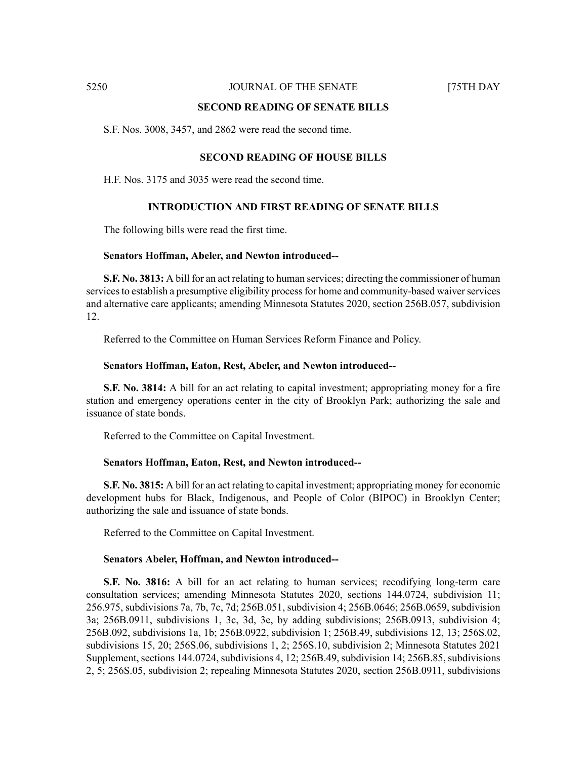### **SECOND READING OF SENATE BILLS**

S.F. Nos. 3008, 3457, and 2862 were read the second time.

### **SECOND READING OF HOUSE BILLS**

H.F. Nos. 3175 and 3035 were read the second time.

# **INTRODUCTION AND FIRST READING OF SENATE BILLS**

The following bills were read the first time.

### **Senators Hoffman, Abeler, and Newton introduced--**

**S.F. No. 3813:** A bill for an act relating to human services; directing the commissioner of human services to establish a presumptive eligibility process for home and community-based waiver services and alternative care applicants; amending Minnesota Statutes 2020, section 256B.057, subdivision 12.

Referred to the Committee on Human Services Reform Finance and Policy.

### **Senators Hoffman, Eaton, Rest, Abeler, and Newton introduced--**

**S.F. No. 3814:** A bill for an act relating to capital investment; appropriating money for a fire station and emergency operations center in the city of Brooklyn Park; authorizing the sale and issuance of state bonds.

Referred to the Committee on Capital Investment.

### **Senators Hoffman, Eaton, Rest, and Newton introduced--**

**S.F. No. 3815:** A bill for an act relating to capital investment; appropriating money for economic development hubs for Black, Indigenous, and People of Color (BIPOC) in Brooklyn Center; authorizing the sale and issuance of state bonds.

Referred to the Committee on Capital Investment.

### **Senators Abeler, Hoffman, and Newton introduced--**

**S.F. No. 3816:** A bill for an act relating to human services; recodifying long-term care consultation services; amending Minnesota Statutes 2020, sections 144.0724, subdivision 11; 256.975, subdivisions 7a, 7b, 7c, 7d; 256B.051, subdivision 4; 256B.0646; 256B.0659, subdivision 3a; 256B.0911, subdivisions 1, 3c, 3d, 3e, by adding subdivisions; 256B.0913, subdivision 4; 256B.092, subdivisions 1a, 1b; 256B.0922, subdivision 1; 256B.49, subdivisions 12, 13; 256S.02, subdivisions 15, 20; 256S.06, subdivisions 1, 2; 256S.10, subdivision 2; Minnesota Statutes 2021 Supplement, sections 144.0724, subdivisions 4, 12; 256B.49, subdivision 14; 256B.85, subdivisions 2, 5; 256S.05, subdivision 2; repealing Minnesota Statutes 2020, section 256B.0911, subdivisions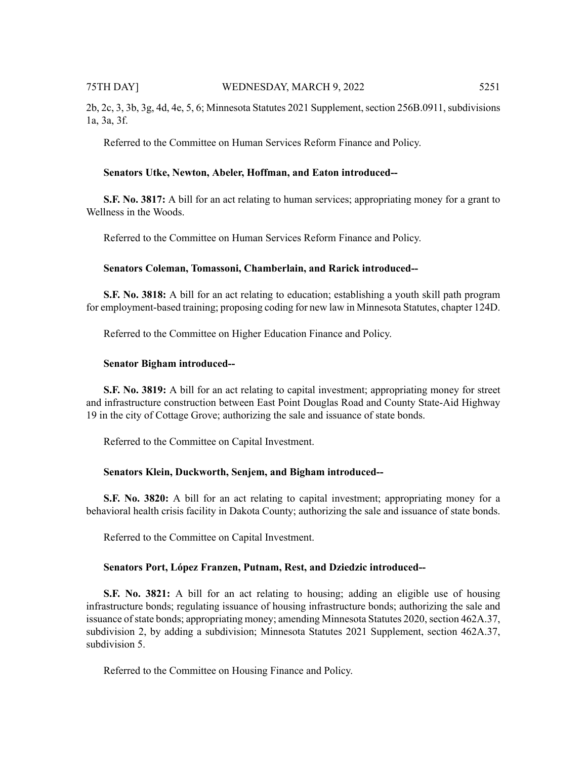2b, 2c, 3, 3b, 3g, 4d, 4e, 5, 6; Minnesota Statutes 2021 Supplement, section 256B.0911, subdivisions 1a, 3a, 3f.

Referred to the Committee on Human Services Reform Finance and Policy.

### **Senators Utke, Newton, Abeler, Hoffman, and Eaton introduced--**

**S.F. No. 3817:** A bill for an act relating to human services; appropriating money for a grant to Wellness in the Woods.

Referred to the Committee on Human Services Reform Finance and Policy.

### **Senators Coleman, Tomassoni, Chamberlain, and Rarick introduced--**

**S.F. No. 3818:** A bill for an act relating to education; establishing a youth skill path program for employment-based training; proposing coding for new law in Minnesota Statutes, chapter 124D.

Referred to the Committee on Higher Education Finance and Policy.

### **Senator Bigham introduced--**

**S.F. No. 3819:** A bill for an act relating to capital investment; appropriating money for street and infrastructure construction between East Point Douglas Road and County State-Aid Highway 19 in the city of Cottage Grove; authorizing the sale and issuance of state bonds.

Referred to the Committee on Capital Investment.

### **Senators Klein, Duckworth, Senjem, and Bigham introduced--**

**S.F. No. 3820:** A bill for an act relating to capital investment; appropriating money for a behavioral health crisis facility in Dakota County; authorizing the sale and issuance of state bonds.

Referred to the Committee on Capital Investment.

### **Senators Port, López Franzen, Putnam, Rest, and Dziedzic introduced--**

**S.F. No. 3821:** A bill for an act relating to housing; adding an eligible use of housing infrastructure bonds; regulating issuance of housing infrastructure bonds; authorizing the sale and issuance of state bonds; appropriating money; amending Minnesota Statutes 2020, section 462A.37, subdivision 2, by adding a subdivision; Minnesota Statutes 2021 Supplement, section 462A.37, subdivision 5.

Referred to the Committee on Housing Finance and Policy.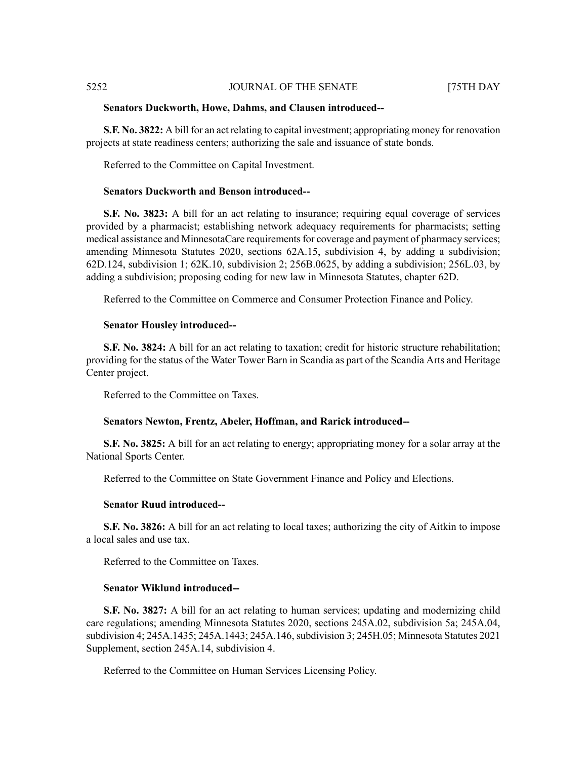### **Senators Duckworth, Howe, Dahms, and Clausen introduced--**

**S.F. No. 3822:** A bill for an act relating to capital investment; appropriating money for renovation projects at state readiness centers; authorizing the sale and issuance of state bonds.

Referred to the Committee on Capital Investment.

# **Senators Duckworth and Benson introduced--**

**S.F. No. 3823:** A bill for an act relating to insurance; requiring equal coverage of services provided by a pharmacist; establishing network adequacy requirements for pharmacists; setting medical assistance and MinnesotaCare requirements for coverage and payment of pharmacy services; amending Minnesota Statutes 2020, sections 62A.15, subdivision 4, by adding a subdivision; 62D.124, subdivision 1; 62K.10, subdivision 2; 256B.0625, by adding a subdivision; 256L.03, by adding a subdivision; proposing coding for new law in Minnesota Statutes, chapter 62D.

Referred to the Committee on Commerce and Consumer Protection Finance and Policy.

### **Senator Housley introduced--**

**S.F. No. 3824:** A bill for an act relating to taxation; credit for historic structure rehabilitation; providing for the status of the Water Tower Barn in Scandia as part of the Scandia Arts and Heritage Center project.

Referred to the Committee on Taxes.

### **Senators Newton, Frentz, Abeler, Hoffman, and Rarick introduced--**

**S.F. No. 3825:** A bill for an act relating to energy; appropriating money for a solar array at the National Sports Center.

Referred to the Committee on State Government Finance and Policy and Elections.

### **Senator Ruud introduced--**

**S.F. No. 3826:** A bill for an act relating to local taxes; authorizing the city of Aitkin to impose a local sales and use tax.

Referred to the Committee on Taxes.

### **Senator Wiklund introduced--**

**S.F. No. 3827:** A bill for an act relating to human services; updating and modernizing child care regulations; amending Minnesota Statutes 2020, sections 245A.02, subdivision 5a; 245A.04, subdivision 4; 245A.1435; 245A.1443; 245A.146, subdivision 3; 245H.05; Minnesota Statutes 2021 Supplement, section 245A.14, subdivision 4.

Referred to the Committee on Human Services Licensing Policy.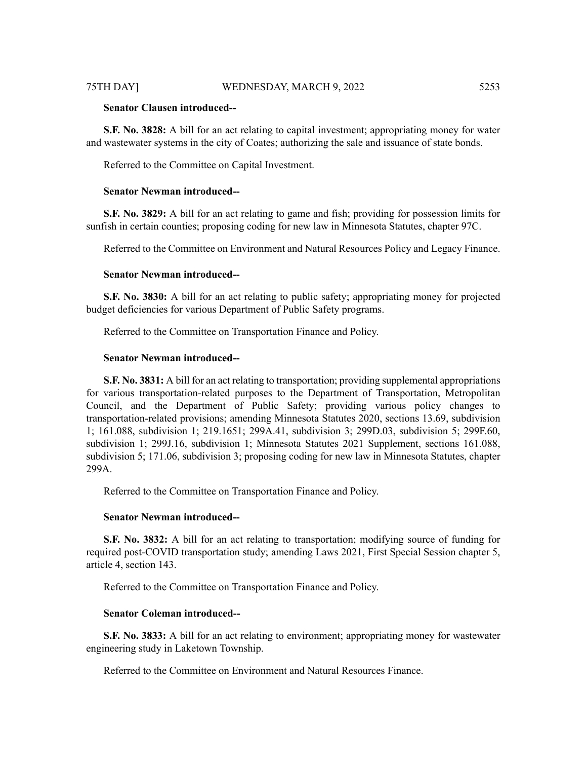# **Senator Clausen introduced--**

**S.F. No. 3828:** A bill for an act relating to capital investment; appropriating money for water and wastewater systems in the city of Coates; authorizing the sale and issuance of state bonds.

Referred to the Committee on Capital Investment.

# **Senator Newman introduced--**

**S.F. No. 3829:** A bill for an act relating to game and fish; providing for possession limits for sunfish in certain counties; proposing coding for new law in Minnesota Statutes, chapter 97C.

Referred to the Committee on Environment and Natural Resources Policy and Legacy Finance.

# **Senator Newman introduced--**

**S.F. No. 3830:** A bill for an act relating to public safety; appropriating money for projected budget deficiencies for various Department of Public Safety programs.

Referred to the Committee on Transportation Finance and Policy.

### **Senator Newman introduced--**

**S.F. No. 3831:** A bill for an act relating to transportation; providing supplemental appropriations for various transportation-related purposes to the Department of Transportation, Metropolitan Council, and the Department of Public Safety; providing various policy changes to transportation-related provisions; amending Minnesota Statutes 2020, sections 13.69, subdivision 1; 161.088, subdivision 1; 219.1651; 299A.41, subdivision 3; 299D.03, subdivision 5; 299F.60, subdivision 1; 299J.16, subdivision 1; Minnesota Statutes 2021 Supplement, sections 161.088, subdivision 5; 171.06, subdivision 3; proposing coding for new law in Minnesota Statutes, chapter 299A.

Referred to the Committee on Transportation Finance and Policy.

# **Senator Newman introduced--**

**S.F. No. 3832:** A bill for an act relating to transportation; modifying source of funding for required post-COVID transportation study; amending Laws 2021, First Special Session chapter 5, article 4, section 143.

Referred to the Committee on Transportation Finance and Policy.

# **Senator Coleman introduced--**

**S.F. No. 3833:** A bill for an act relating to environment; appropriating money for wastewater engineering study in Laketown Township.

Referred to the Committee on Environment and Natural Resources Finance.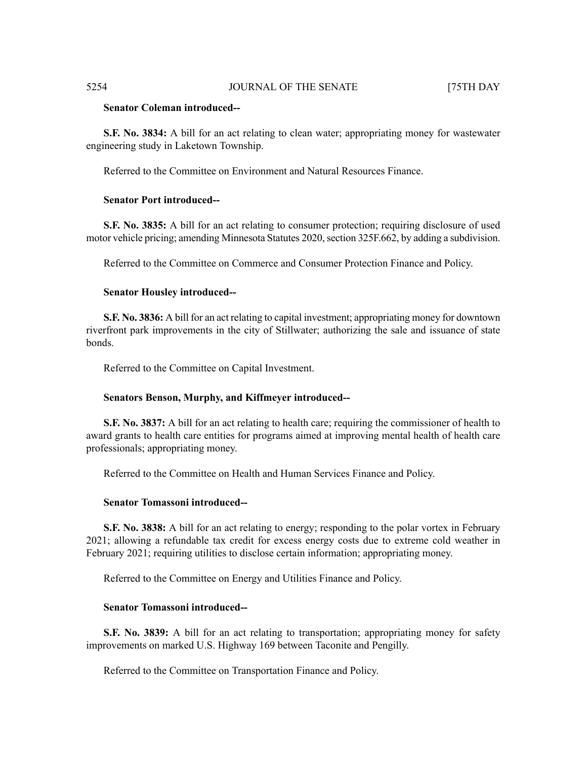# **Senator Coleman introduced--**

**S.F. No. 3834:** A bill for an act relating to clean water; appropriating money for wastewater engineering study in Laketown Township.

Referred to the Committee on Environment and Natural Resources Finance.

# **Senator Port introduced--**

**S.F. No. 3835:** A bill for an act relating to consumer protection; requiring disclosure of used motor vehicle pricing; amending Minnesota Statutes 2020, section 325F.662, by adding a subdivision.

Referred to the Committee on Commerce and Consumer Protection Finance and Policy.

### **Senator Housley introduced--**

**S.F. No. 3836:** A bill for an act relating to capital investment; appropriating money for downtown riverfront park improvements in the city of Stillwater; authorizing the sale and issuance of state bonds.

Referred to the Committee on Capital Investment.

### **Senators Benson, Murphy, and Kiffmeyer introduced--**

**S.F. No. 3837:** A bill for an act relating to health care; requiring the commissioner of health to award grants to health care entities for programs aimed at improving mental health of health care professionals; appropriating money.

Referred to the Committee on Health and Human Services Finance and Policy.

# **Senator Tomassoni introduced--**

**S.F. No. 3838:** A bill for an act relating to energy; responding to the polar vortex in February 2021; allowing a refundable tax credit for excess energy costs due to extreme cold weather in February 2021; requiring utilities to disclose certain information; appropriating money.

Referred to the Committee on Energy and Utilities Finance and Policy.

# **Senator Tomassoni introduced--**

**S.F. No. 3839:** A bill for an act relating to transportation; appropriating money for safety improvements on marked U.S. Highway 169 between Taconite and Pengilly.

Referred to the Committee on Transportation Finance and Policy.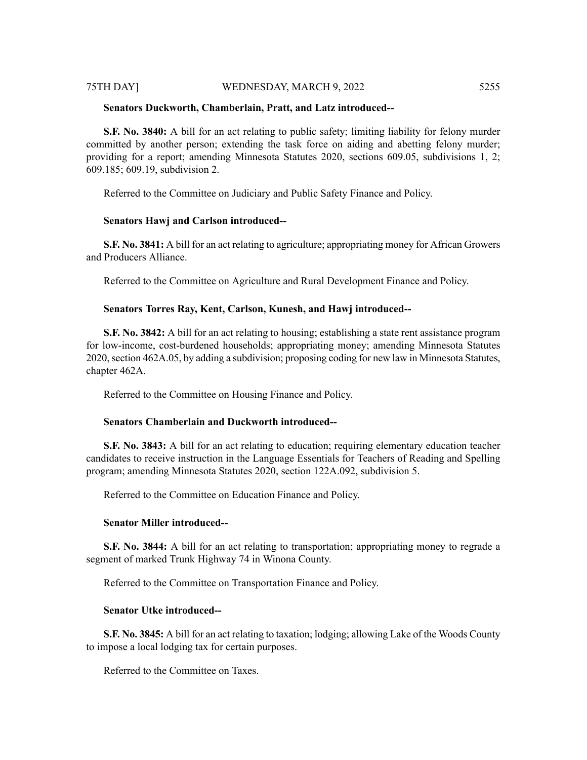# 75TH DAY] WEDNESDAY, MARCH 9, 2022 5255

### **Senators Duckworth, Chamberlain, Pratt, and Latz introduced--**

**S.F. No. 3840:** A bill for an act relating to public safety; limiting liability for felony murder committed by another person; extending the task force on aiding and abetting felony murder; providing for a report; amending Minnesota Statutes 2020, sections 609.05, subdivisions 1, 2; 609.185; 609.19, subdivision 2.

Referred to the Committee on Judiciary and Public Safety Finance and Policy.

# **Senators Hawj and Carlson introduced--**

**S.F. No. 3841:** A bill for an act relating to agriculture; appropriating money for African Growers and Producers Alliance.

Referred to the Committee on Agriculture and Rural Development Finance and Policy.

# **Senators Torres Ray, Kent, Carlson, Kunesh, and Hawj introduced--**

**S.F. No. 3842:** A bill for an act relating to housing; establishing a state rent assistance program for low-income, cost-burdened households; appropriating money; amending Minnesota Statutes 2020, section 462A.05, by adding a subdivision; proposing coding for new law in Minnesota Statutes, chapter 462A.

Referred to the Committee on Housing Finance and Policy.

# **Senators Chamberlain and Duckworth introduced--**

**S.F. No. 3843:** A bill for an act relating to education; requiring elementary education teacher candidates to receive instruction in the Language Essentials for Teachers of Reading and Spelling program; amending Minnesota Statutes 2020, section 122A.092, subdivision 5.

Referred to the Committee on Education Finance and Policy.

# **Senator Miller introduced--**

**S.F. No. 3844:** A bill for an act relating to transportation; appropriating money to regrade a segment of marked Trunk Highway 74 in Winona County.

Referred to the Committee on Transportation Finance and Policy.

# **Senator Utke introduced--**

**S.F. No. 3845:** A bill for an act relating to taxation; lodging; allowing Lake of the Woods County to impose a local lodging tax for certain purposes.

Referred to the Committee on Taxes.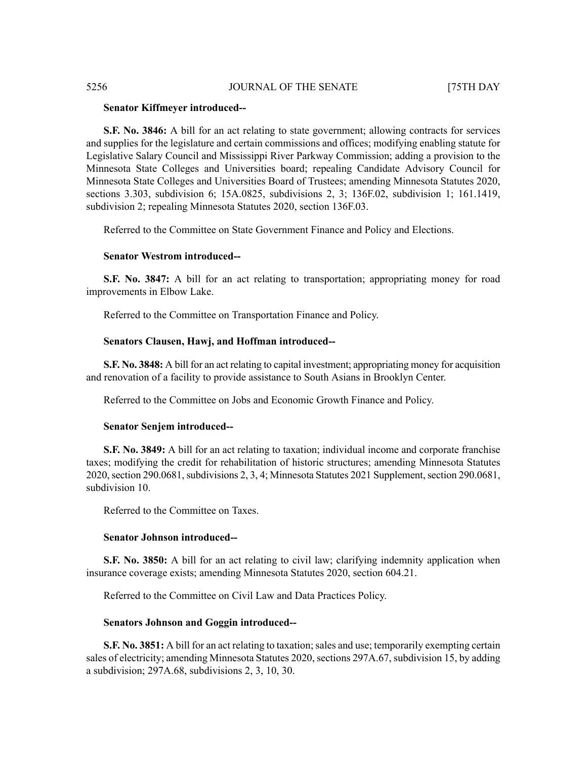### **Senator Kiffmeyer introduced--**

**S.F. No. 3846:** A bill for an act relating to state government; allowing contracts for services and supplies for the legislature and certain commissions and offices; modifying enabling statute for Legislative Salary Council and Mississippi River Parkway Commission; adding a provision to the Minnesota State Colleges and Universities board; repealing Candidate Advisory Council for Minnesota State Colleges and Universities Board of Trustees; amending Minnesota Statutes 2020, sections 3.303, subdivision 6; 15A.0825, subdivisions 2, 3; 136F.02, subdivision 1; 161.1419, subdivision 2; repealing Minnesota Statutes 2020, section 136F.03.

Referred to the Committee on State Government Finance and Policy and Elections.

### **Senator Westrom introduced--**

**S.F. No. 3847:** A bill for an act relating to transportation; appropriating money for road improvements in Elbow Lake.

Referred to the Committee on Transportation Finance and Policy.

### **Senators Clausen, Hawj, and Hoffman introduced--**

**S.F. No. 3848:** A bill for an act relating to capital investment; appropriating money for acquisition and renovation of a facility to provide assistance to South Asians in Brooklyn Center.

Referred to the Committee on Jobs and Economic Growth Finance and Policy.

### **Senator Senjem introduced--**

**S.F. No. 3849:** A bill for an act relating to taxation; individual income and corporate franchise taxes; modifying the credit for rehabilitation of historic structures; amending Minnesota Statutes 2020, section 290.0681, subdivisions 2, 3, 4; Minnesota Statutes 2021 Supplement, section 290.0681, subdivision 10.

Referred to the Committee on Taxes.

### **Senator Johnson introduced--**

**S.F. No. 3850:** A bill for an act relating to civil law; clarifying indemnity application when insurance coverage exists; amending Minnesota Statutes 2020, section 604.21.

Referred to the Committee on Civil Law and Data Practices Policy.

# **Senators Johnson and Goggin introduced--**

**S.F. No. 3851:** A bill for an act relating to taxation; sales and use; temporarily exempting certain sales of electricity; amending Minnesota Statutes 2020, sections 297A.67, subdivision 15, by adding a subdivision; 297A.68, subdivisions 2, 3, 10, 30.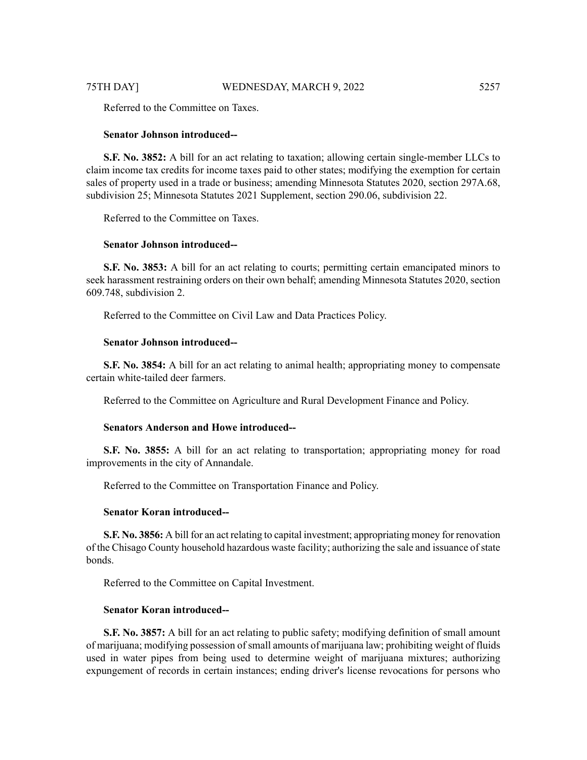Referred to the Committee on Taxes.

# **Senator Johnson introduced--**

**S.F. No. 3852:** A bill for an act relating to taxation; allowing certain single-member LLCs to claim income tax credits for income taxes paid to other states; modifying the exemption for certain sales of property used in a trade or business; amending Minnesota Statutes 2020, section 297A.68, subdivision 25; Minnesota Statutes 2021 Supplement, section 290.06, subdivision 22.

Referred to the Committee on Taxes.

# **Senator Johnson introduced--**

**S.F. No. 3853:** A bill for an act relating to courts; permitting certain emancipated minors to seek harassment restraining orders on their own behalf; amending Minnesota Statutes 2020, section 609.748, subdivision 2.

Referred to the Committee on Civil Law and Data Practices Policy.

# **Senator Johnson introduced--**

**S.F. No. 3854:** A bill for an act relating to animal health; appropriating money to compensate certain white-tailed deer farmers.

Referred to the Committee on Agriculture and Rural Development Finance and Policy.

# **Senators Anderson and Howe introduced--**

**S.F. No. 3855:** A bill for an act relating to transportation; appropriating money for road improvements in the city of Annandale.

Referred to the Committee on Transportation Finance and Policy.

# **Senator Koran introduced--**

**S.F. No. 3856:** A bill for an act relating to capital investment; appropriating money for renovation of the Chisago County household hazardous waste facility; authorizing the sale and issuance ofstate bonds.

Referred to the Committee on Capital Investment.

# **Senator Koran introduced--**

**S.F. No. 3857:** A bill for an act relating to public safety; modifying definition of small amount of marijuana; modifying possession of small amounts of marijuana law; prohibiting weight of fluids used in water pipes from being used to determine weight of marijuana mixtures; authorizing expungement of records in certain instances; ending driver's license revocations for persons who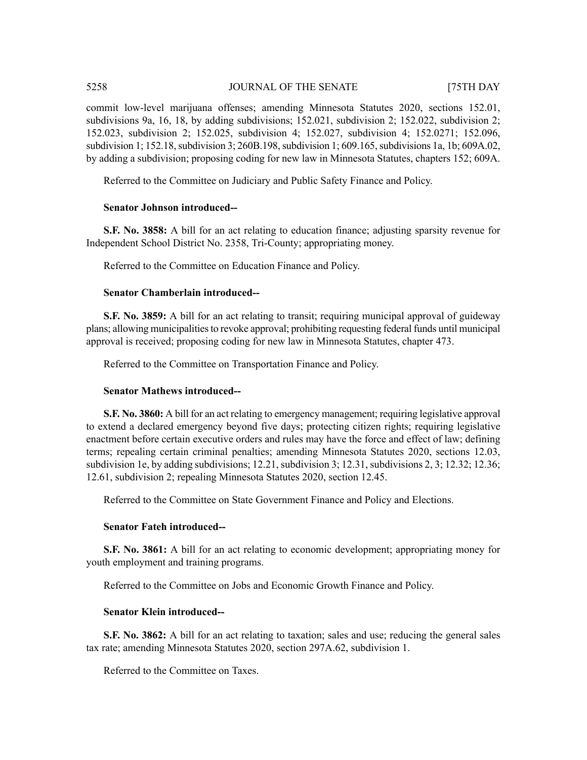commit low-level marijuana offenses; amending Minnesota Statutes 2020, sections 152.01, subdivisions 9a, 16, 18, by adding subdivisions; 152.021, subdivision 2; 152.022, subdivision 2; 152.023, subdivision 2; 152.025, subdivision 4; 152.027, subdivision 4; 152.0271; 152.096, subdivision 1; 152.18, subdivision 3; 260B.198, subdivision 1; 609.165, subdivisions 1a, 1b; 609A.02, by adding a subdivision; proposing coding for new law in Minnesota Statutes, chapters 152; 609A.

Referred to the Committee on Judiciary and Public Safety Finance and Policy.

# **Senator Johnson introduced--**

**S.F. No. 3858:** A bill for an act relating to education finance; adjusting sparsity revenue for Independent School District No. 2358, Tri-County; appropriating money.

Referred to the Committee on Education Finance and Policy.

# **Senator Chamberlain introduced--**

**S.F.** No. 3859: A bill for an act relating to transit; requiring municipal approval of guideway plans; allowing municipalitiesto revoke approval; prohibiting requesting federal funds until municipal approval is received; proposing coding for new law in Minnesota Statutes, chapter 473.

Referred to the Committee on Transportation Finance and Policy.

# **Senator Mathews introduced--**

**S.F. No. 3860:** A bill for an act relating to emergency management; requiring legislative approval to extend a declared emergency beyond five days; protecting citizen rights; requiring legislative enactment before certain executive orders and rules may have the force and effect of law; defining terms; repealing certain criminal penalties; amending Minnesota Statutes 2020, sections 12.03, subdivision 1e, by adding subdivisions; 12.21, subdivision 3; 12.31, subdivisions 2, 3; 12.32; 12.36; 12.61, subdivision 2; repealing Minnesota Statutes 2020, section 12.45.

Referred to the Committee on State Government Finance and Policy and Elections.

# **Senator Fateh introduced--**

**S.F. No. 3861:** A bill for an act relating to economic development; appropriating money for youth employment and training programs.

Referred to the Committee on Jobs and Economic Growth Finance and Policy.

# **Senator Klein introduced--**

**S.F. No. 3862:** A bill for an act relating to taxation; sales and use; reducing the general sales tax rate; amending Minnesota Statutes 2020, section 297A.62, subdivision 1.

Referred to the Committee on Taxes.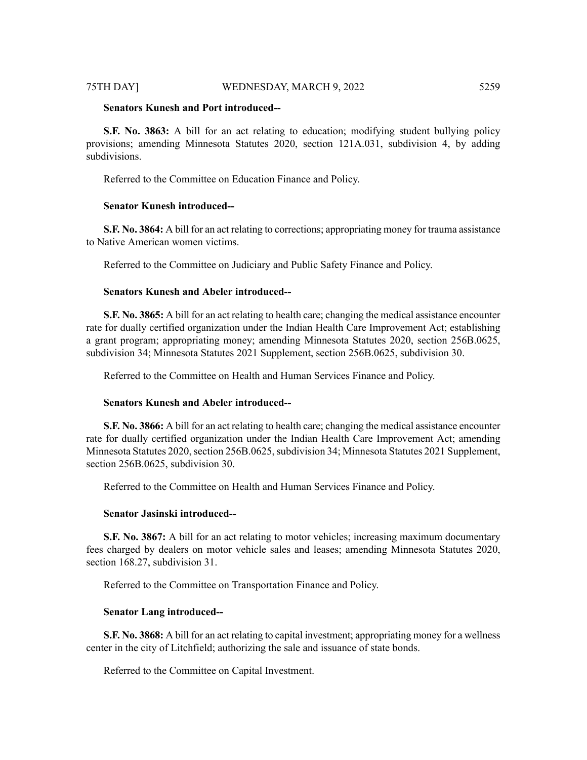### 75TH DAY] WEDNESDAY, MARCH 9, 2022 5259

# **Senators Kunesh and Port introduced--**

**S.F. No. 3863:** A bill for an act relating to education; modifying student bullying policy provisions; amending Minnesota Statutes 2020, section 121A.031, subdivision 4, by adding subdivisions.

Referred to the Committee on Education Finance and Policy.

# **Senator Kunesh introduced--**

**S.F. No. 3864:** A bill for an act relating to corrections; appropriating money for trauma assistance to Native American women victims.

Referred to the Committee on Judiciary and Public Safety Finance and Policy.

# **Senators Kunesh and Abeler introduced--**

**S.F. No. 3865:** A bill for an act relating to health care; changing the medical assistance encounter rate for dually certified organization under the Indian Health Care Improvement Act; establishing a grant program; appropriating money; amending Minnesota Statutes 2020, section 256B.0625, subdivision 34; Minnesota Statutes 2021 Supplement, section 256B.0625, subdivision 30.

Referred to the Committee on Health and Human Services Finance and Policy.

### **Senators Kunesh and Abeler introduced--**

**S.F. No. 3866:** A bill for an act relating to health care; changing the medical assistance encounter rate for dually certified organization under the Indian Health Care Improvement Act; amending Minnesota Statutes 2020, section 256B.0625, subdivision 34; Minnesota Statutes 2021 Supplement, section 256B.0625, subdivision 30.

Referred to the Committee on Health and Human Services Finance and Policy.

### **Senator Jasinski introduced--**

**S.F. No. 3867:** A bill for an act relating to motor vehicles; increasing maximum documentary fees charged by dealers on motor vehicle sales and leases; amending Minnesota Statutes 2020, section 168.27, subdivision 31.

Referred to the Committee on Transportation Finance and Policy.

# **Senator Lang introduced--**

**S.F. No. 3868:** A bill for an act relating to capital investment; appropriating money for a wellness center in the city of Litchfield; authorizing the sale and issuance of state bonds.

Referred to the Committee on Capital Investment.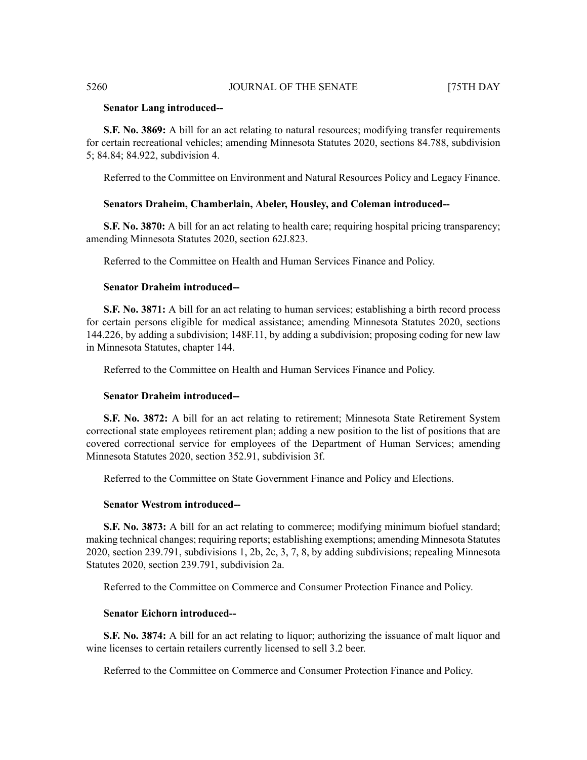# **Senator Lang introduced--**

**S.F. No. 3869:** A bill for an act relating to natural resources; modifying transfer requirements for certain recreational vehicles; amending Minnesota Statutes 2020, sections 84.788, subdivision 5; 84.84; 84.922, subdivision 4.

Referred to the Committee on Environment and Natural Resources Policy and Legacy Finance.

# **Senators Draheim, Chamberlain, Abeler, Housley, and Coleman introduced--**

**S.F. No. 3870:** A bill for an act relating to health care; requiring hospital pricing transparency; amending Minnesota Statutes 2020, section 62J.823.

Referred to the Committee on Health and Human Services Finance and Policy.

# **Senator Draheim introduced--**

**S.F. No. 3871:** A bill for an act relating to human services; establishing a birth record process for certain persons eligible for medical assistance; amending Minnesota Statutes 2020, sections 144.226, by adding a subdivision; 148F.11, by adding a subdivision; proposing coding for new law in Minnesota Statutes, chapter 144.

Referred to the Committee on Health and Human Services Finance and Policy.

# **Senator Draheim introduced--**

**S.F. No. 3872:** A bill for an act relating to retirement; Minnesota State Retirement System correctional state employees retirement plan; adding a new position to the list of positions that are covered correctional service for employees of the Department of Human Services; amending Minnesota Statutes 2020, section 352.91, subdivision 3f.

Referred to the Committee on State Government Finance and Policy and Elections.

### **Senator Westrom introduced--**

**S.F. No. 3873:** A bill for an act relating to commerce; modifying minimum biofuel standard; making technical changes; requiring reports; establishing exemptions; amending Minnesota Statutes 2020, section 239.791, subdivisions 1, 2b, 2c, 3, 7, 8, by adding subdivisions; repealing Minnesota Statutes 2020, section 239.791, subdivision 2a.

Referred to the Committee on Commerce and Consumer Protection Finance and Policy.

# **Senator Eichorn introduced--**

**S.F. No. 3874:** A bill for an act relating to liquor; authorizing the issuance of malt liquor and wine licenses to certain retailers currently licensed to sell 3.2 beer.

Referred to the Committee on Commerce and Consumer Protection Finance and Policy.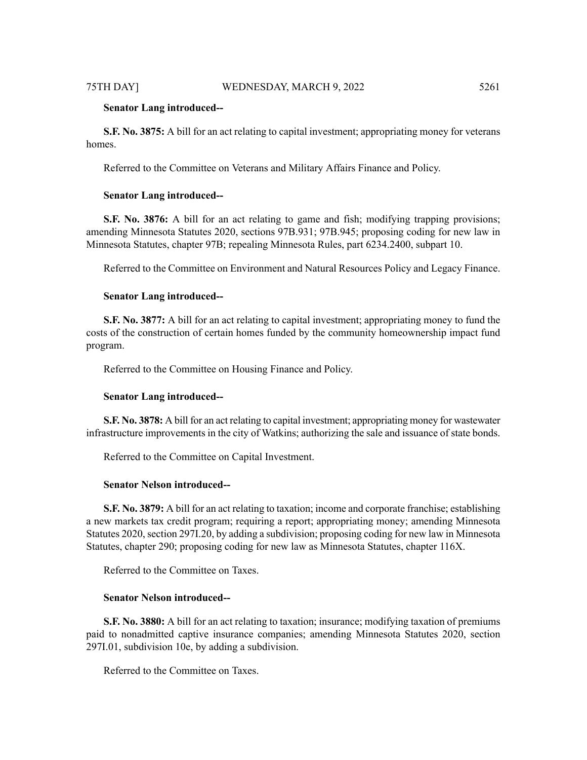**S.F. No. 3875:** A bill for an act relating to capital investment; appropriating money for veterans homes.

Referred to the Committee on Veterans and Military Affairs Finance and Policy.

### **Senator Lang introduced--**

**S.F.** No. 3876: A bill for an act relating to game and fish; modifying trapping provisions; amending Minnesota Statutes 2020, sections 97B.931; 97B.945; proposing coding for new law in Minnesota Statutes, chapter 97B; repealing Minnesota Rules, part 6234.2400, subpart 10.

Referred to the Committee on Environment and Natural Resources Policy and Legacy Finance.

### **Senator Lang introduced--**

**S.F. No. 3877:** A bill for an act relating to capital investment; appropriating money to fund the costs of the construction of certain homes funded by the community homeownership impact fund program.

Referred to the Committee on Housing Finance and Policy.

### **Senator Lang introduced--**

**S.F. No. 3878:** A bill for an act relating to capital investment; appropriating money for wastewater infrastructure improvements in the city of Watkins; authorizing the sale and issuance of state bonds.

Referred to the Committee on Capital Investment.

### **Senator Nelson introduced--**

**S.F. No. 3879:** A bill for an act relating to taxation; income and corporate franchise; establishing a new markets tax credit program; requiring a report; appropriating money; amending Minnesota Statutes 2020, section 297I.20, by adding a subdivision; proposing coding for new law in Minnesota Statutes, chapter 290; proposing coding for new law as Minnesota Statutes, chapter 116X.

Referred to the Committee on Taxes.

### **Senator Nelson introduced--**

**S.F. No. 3880:** A bill for an act relating to taxation; insurance; modifying taxation of premiums paid to nonadmitted captive insurance companies; amending Minnesota Statutes 2020, section 297I.01, subdivision 10e, by adding a subdivision.

Referred to the Committee on Taxes.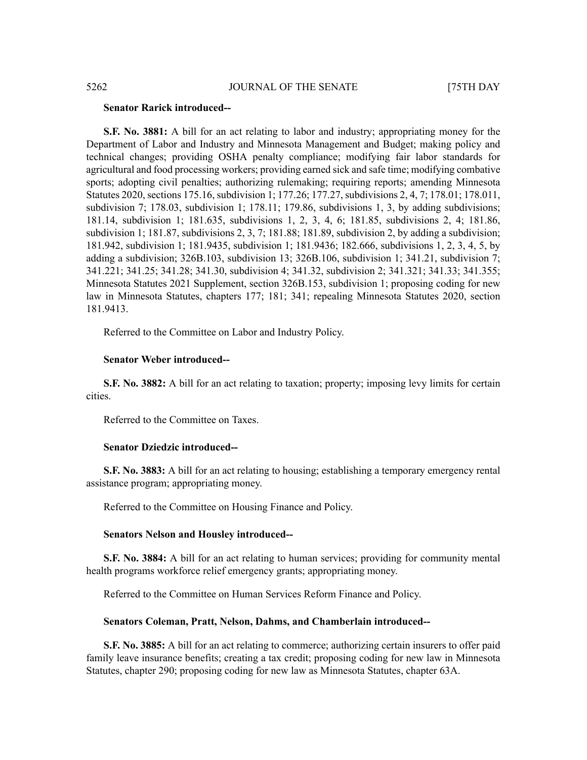# **Senator Rarick introduced--**

**S.F. No. 3881:** A bill for an act relating to labor and industry; appropriating money for the Department of Labor and Industry and Minnesota Management and Budget; making policy and technical changes; providing OSHA penalty compliance; modifying fair labor standards for agricultural and food processing workers; providing earned sick and safe time; modifying combative sports; adopting civil penalties; authorizing rulemaking; requiring reports; amending Minnesota Statutes 2020, sections 175.16, subdivision 1; 177.26; 177.27, subdivisions 2, 4, 7; 178.01; 178.011, subdivision 7; 178.03, subdivision 1; 178.11; 179.86, subdivisions 1, 3, by adding subdivisions; 181.14, subdivision 1; 181.635, subdivisions 1, 2, 3, 4, 6; 181.85, subdivisions 2, 4; 181.86, subdivision 1; 181.87, subdivisions 2, 3, 7; 181.88; 181.89, subdivision 2, by adding a subdivision; 181.942, subdivision 1; 181.9435, subdivision 1; 181.9436; 182.666, subdivisions 1, 2, 3, 4, 5, by adding a subdivision; 326B.103, subdivision 13; 326B.106, subdivision 1; 341.21, subdivision 7; 341.221; 341.25; 341.28; 341.30, subdivision 4; 341.32, subdivision 2; 341.321; 341.33; 341.355; Minnesota Statutes 2021 Supplement, section 326B.153, subdivision 1; proposing coding for new law in Minnesota Statutes, chapters 177; 181; 341; repealing Minnesota Statutes 2020, section 181.9413.

Referred to the Committee on Labor and Industry Policy.

### **Senator Weber introduced--**

**S.F. No. 3882:** A bill for an act relating to taxation; property; imposing levy limits for certain cities.

Referred to the Committee on Taxes.

### **Senator Dziedzic introduced--**

**S.F. No. 3883:** A bill for an act relating to housing; establishing a temporary emergency rental assistance program; appropriating money.

Referred to the Committee on Housing Finance and Policy.

### **Senators Nelson and Housley introduced--**

**S.F. No. 3884:** A bill for an act relating to human services; providing for community mental health programs workforce relief emergency grants; appropriating money.

Referred to the Committee on Human Services Reform Finance and Policy.

### **Senators Coleman, Pratt, Nelson, Dahms, and Chamberlain introduced--**

**S.F. No. 3885:** A bill for an act relating to commerce; authorizing certain insurers to offer paid family leave insurance benefits; creating a tax credit; proposing coding for new law in Minnesota Statutes, chapter 290; proposing coding for new law as Minnesota Statutes, chapter 63A.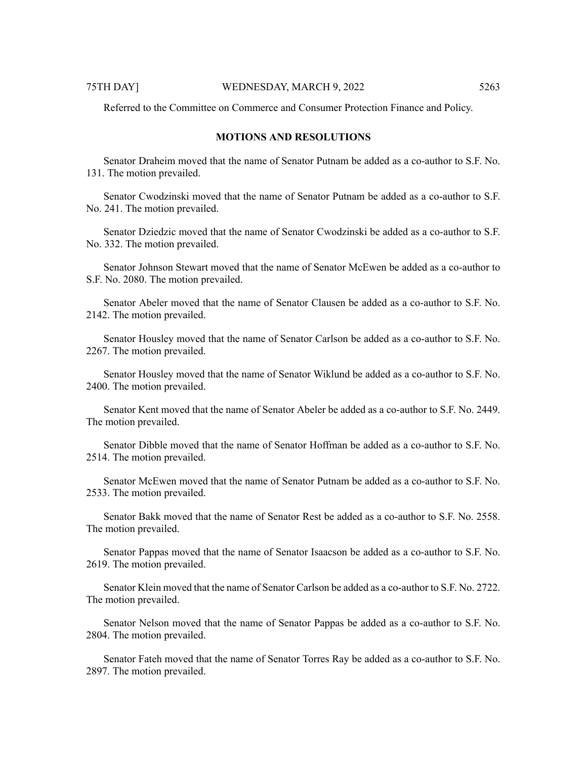Referred to the Committee on Commerce and Consumer Protection Finance and Policy.

# **MOTIONS AND RESOLUTIONS**

Senator Draheim moved that the name of Senator Putnam be added as a co-author to S.F. No. 131. The motion prevailed.

Senator Cwodzinski moved that the name of Senator Putnam be added as a co-author to S.F. No. 241. The motion prevailed.

Senator Dziedzic moved that the name of Senator Cwodzinski be added as a co-author to S.F. No. 332. The motion prevailed.

Senator Johnson Stewart moved that the name of Senator McEwen be added as a co-author to S.F. No. 2080. The motion prevailed.

Senator Abeler moved that the name of Senator Clausen be added as a co-author to S.F. No. 2142. The motion prevailed.

Senator Housley moved that the name of Senator Carlson be added as a co-author to S.F. No. 2267. The motion prevailed.

Senator Housley moved that the name of Senator Wiklund be added as a co-author to S.F. No. 2400. The motion prevailed.

Senator Kent moved that the name of Senator Abeler be added as a co-author to S.F. No. 2449. The motion prevailed.

Senator Dibble moved that the name of Senator Hoffman be added as a co-author to S.F. No. 2514. The motion prevailed.

Senator McEwen moved that the name of Senator Putnam be added as a co-author to S.F. No. 2533. The motion prevailed.

Senator Bakk moved that the name of Senator Rest be added as a co-author to S.F. No. 2558. The motion prevailed.

Senator Pappas moved that the name of Senator Isaacson be added as a co-author to S.F. No. 2619. The motion prevailed.

Senator Klein moved that the name of Senator Carlson be added as a co-author to S.F. No. 2722. The motion prevailed.

Senator Nelson moved that the name of Senator Pappas be added as a co-author to S.F. No. 2804. The motion prevailed.

Senator Fateh moved that the name of Senator Torres Ray be added as a co-author to S.F. No. 2897. The motion prevailed.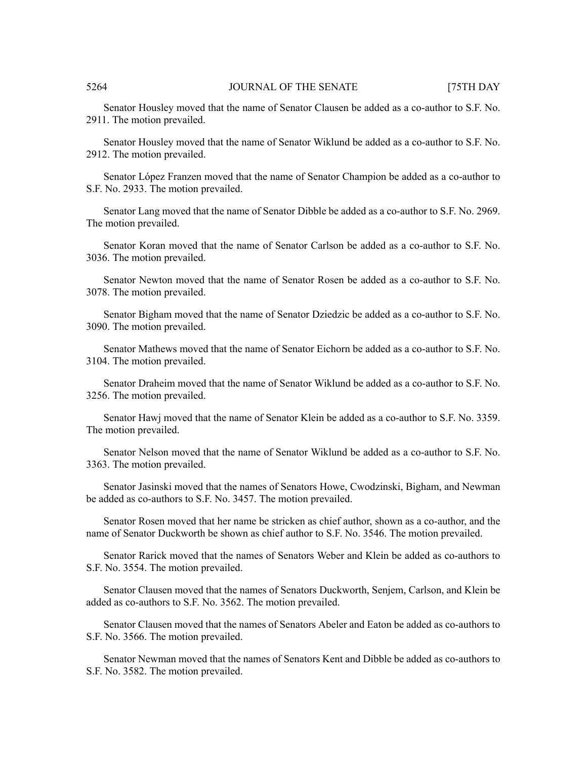Senator Housley moved that the name of Senator Clausen be added as a co-author to S.F. No. 2911. The motion prevailed.

Senator Housley moved that the name of Senator Wiklund be added as a co-author to S.F. No. 2912. The motion prevailed.

Senator López Franzen moved that the name of Senator Champion be added as a co-author to S.F. No. 2933. The motion prevailed.

Senator Lang moved that the name of Senator Dibble be added as a co-author to S.F. No. 2969. The motion prevailed.

Senator Koran moved that the name of Senator Carlson be added as a co-author to S.F. No. 3036. The motion prevailed.

Senator Newton moved that the name of Senator Rosen be added as a co-author to S.F. No. 3078. The motion prevailed.

Senator Bigham moved that the name of Senator Dziedzic be added as a co-author to S.F. No. 3090. The motion prevailed.

Senator Mathews moved that the name of Senator Eichorn be added as a co-author to S.F. No. 3104. The motion prevailed.

Senator Draheim moved that the name of Senator Wiklund be added as a co-author to S.F. No. 3256. The motion prevailed.

Senator Hawj moved that the name of Senator Klein be added as a co-author to S.F. No. 3359. The motion prevailed.

Senator Nelson moved that the name of Senator Wiklund be added as a co-author to S.F. No. 3363. The motion prevailed.

Senator Jasinski moved that the names of Senators Howe, Cwodzinski, Bigham, and Newman be added as co-authors to S.F. No. 3457. The motion prevailed.

Senator Rosen moved that her name be stricken as chief author, shown as a co-author, and the name of Senator Duckworth be shown as chief author to S.F. No. 3546. The motion prevailed.

Senator Rarick moved that the names of Senators Weber and Klein be added as co-authors to S.F. No. 3554. The motion prevailed.

Senator Clausen moved that the names of Senators Duckworth, Senjem, Carlson, and Klein be added as co-authors to S.F. No. 3562. The motion prevailed.

Senator Clausen moved that the names of Senators Abeler and Eaton be added as co-authors to S.F. No. 3566. The motion prevailed.

Senator Newman moved that the names of Senators Kent and Dibble be added as co-authors to S.F. No. 3582. The motion prevailed.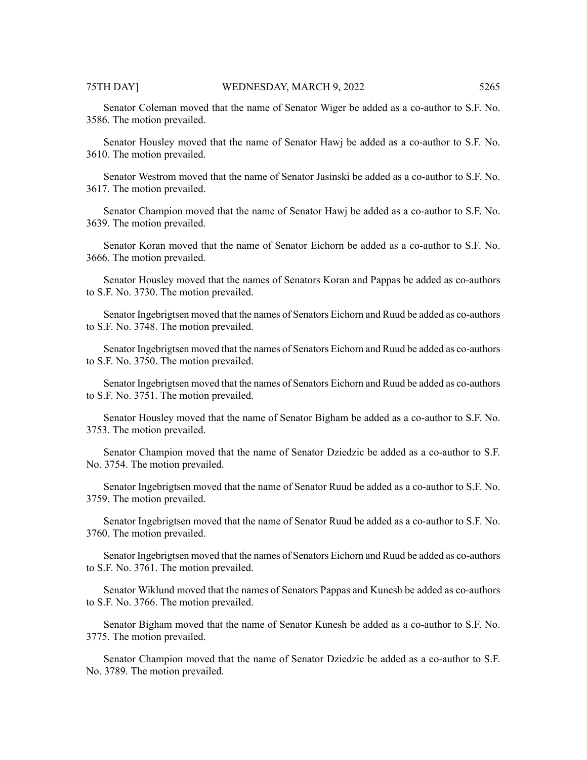Senator Coleman moved that the name of Senator Wiger be added as a co-author to S.F. No. 3586. The motion prevailed.

Senator Housley moved that the name of Senator Hawj be added as a co-author to S.F. No. 3610. The motion prevailed.

Senator Westrom moved that the name of Senator Jasinski be added as a co-author to S.F. No. 3617. The motion prevailed.

Senator Champion moved that the name of Senator Hawj be added as a co-author to S.F. No. 3639. The motion prevailed.

Senator Koran moved that the name of Senator Eichorn be added as a co-author to S.F. No. 3666. The motion prevailed.

Senator Housley moved that the names of Senators Koran and Pappas be added as co-authors to S.F. No. 3730. The motion prevailed.

Senator Ingebrigtsen moved that the names of Senators Eichorn and Ruud be added as co-authors to S.F. No. 3748. The motion prevailed.

Senator Ingebrigtsen moved that the names of Senators Eichorn and Ruud be added as co-authors to S.F. No. 3750. The motion prevailed.

Senator Ingebrigtsen moved that the names of Senators Eichorn and Ruud be added as co-authors to S.F. No. 3751. The motion prevailed.

Senator Housley moved that the name of Senator Bigham be added as a co-author to S.F. No. 3753. The motion prevailed.

Senator Champion moved that the name of Senator Dziedzic be added as a co-author to S.F. No. 3754. The motion prevailed.

Senator Ingebrigtsen moved that the name of Senator Ruud be added as a co-author to S.F. No. 3759. The motion prevailed.

Senator Ingebrigtsen moved that the name of Senator Ruud be added as a co-author to S.F. No. 3760. The motion prevailed.

Senator Ingebrigtsen moved that the names of Senators Eichorn and Ruud be added as co-authors to S.F. No. 3761. The motion prevailed.

Senator Wiklund moved that the names of Senators Pappas and Kunesh be added as co-authors to S.F. No. 3766. The motion prevailed.

Senator Bigham moved that the name of Senator Kunesh be added as a co-author to S.F. No. 3775. The motion prevailed.

Senator Champion moved that the name of Senator Dziedzic be added as a co-author to S.F. No. 3789. The motion prevailed.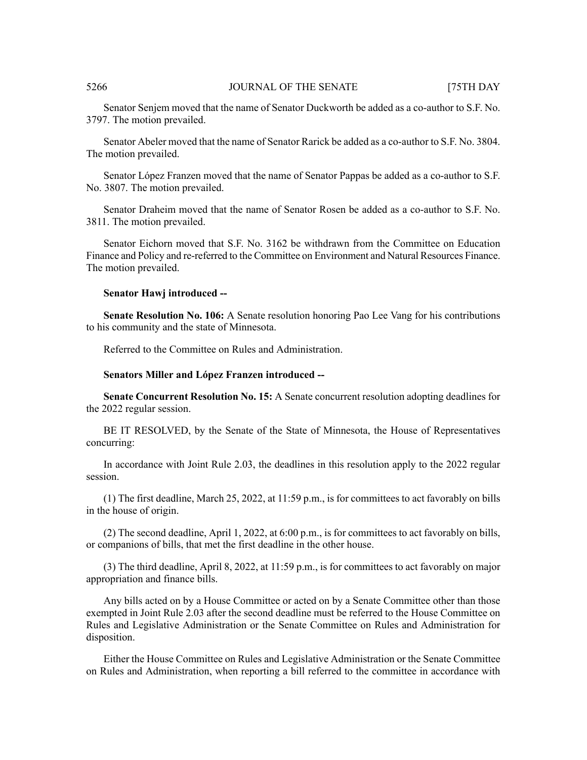Senator Senjem moved that the name of Senator Duckworth be added as a co-author to S.F. No. 3797. The motion prevailed.

Senator Abeler moved that the name of Senator Rarick be added as a co-author to S.F. No. 3804. The motion prevailed.

Senator López Franzen moved that the name of Senator Pappas be added as a co-author to S.F. No. 3807. The motion prevailed.

Senator Draheim moved that the name of Senator Rosen be added as a co-author to S.F. No. 3811. The motion prevailed.

Senator Eichorn moved that S.F. No. 3162 be withdrawn from the Committee on Education Finance and Policy and re-referred to the Committee on Environment and Natural Resources Finance. The motion prevailed.

### **Senator Hawj introduced --**

**Senate Resolution No. 106:** A Senate resolution honoring Pao Lee Vang for his contributions to his community and the state of Minnesota.

Referred to the Committee on Rules and Administration.

### **Senators Miller and López Franzen introduced --**

**Senate Concurrent Resolution No. 15:** A Senate concurrent resolution adopting deadlines for the 2022 regular session.

BE IT RESOLVED, by the Senate of the State of Minnesota, the House of Representatives concurring:

In accordance with Joint Rule 2.03, the deadlines in this resolution apply to the 2022 regular session.

(1) The first deadline, March 25, 2022, at 11:59 p.m., is for committees to act favorably on bills in the house of origin.

(2) The second deadline, April 1, 2022, at 6:00 p.m., is for committees to act favorably on bills, or companions of bills, that met the first deadline in the other house.

(3) The third deadline, April 8, 2022, at 11:59 p.m., is for committees to act favorably on major appropriation and finance bills.

Any bills acted on by a House Committee or acted on by a Senate Committee other than those exempted in Joint Rule 2.03 after the second deadline must be referred to the House Committee on Rules and Legislative Administration or the Senate Committee on Rules and Administration for disposition.

Either the House Committee on Rules and Legislative Administration or the Senate Committee on Rules and Administration, when reporting a bill referred to the committee in accordance with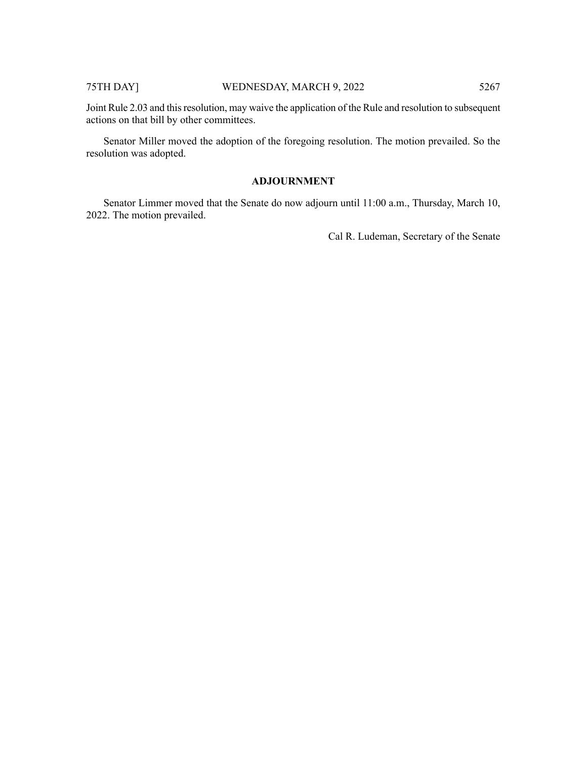# 75TH DAY] WEDNESDAY, MARCH 9, 2022 5267

Joint Rule 2.03 and thisresolution, may waive the application of the Rule and resolution to subsequent actions on that bill by other committees.

Senator Miller moved the adoption of the foregoing resolution. The motion prevailed. So the resolution was adopted.

# **ADJOURNMENT**

Senator Limmer moved that the Senate do now adjourn until 11:00 a.m., Thursday, March 10, 2022. The motion prevailed.

Cal R. Ludeman, Secretary of the Senate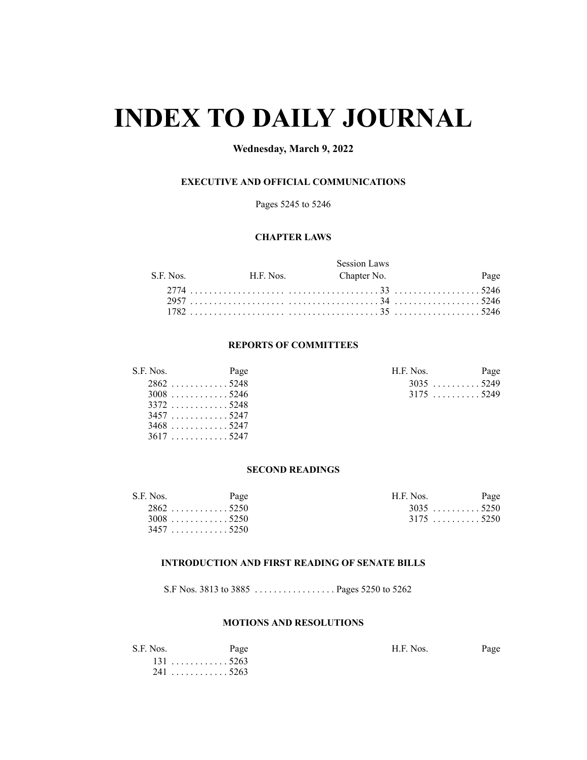# **INDEX TO DAILY JOURNAL**

# **Wednesday, March 9, 2022**

# **EXECUTIVE AND OFFICIAL COMMUNICATIONS**

Pages 5245 to 5246

# **CHAPTER LAWS**

|  | Session Laws                    |      |
|--|---------------------------------|------|
|  | S.F. Nos. H.F. Nos. Chapter No. | Page |
|  |                                 |      |
|  |                                 |      |
|  |                                 |      |

# **REPORTS OF COMMITTEES**

| S.F. Nos. | Page                      | H.F. Nos. | Page        |
|-----------|---------------------------|-----------|-------------|
|           | $2862$ 5248               |           | $3035$ 5249 |
|           | $3008$ 5246               |           |             |
|           | 3372. 5248                |           |             |
|           | 34575247                  |           |             |
|           | $3468$ 5247               |           |             |
|           | $3617 \ldots \ldots 5247$ |           |             |

| .F. Nos.    |  |  |  |  |  | Page |
|-------------|--|--|--|--|--|------|
| $3035$ 5249 |  |  |  |  |  |      |
| $3175$ 5249 |  |  |  |  |  |      |

# **SECOND READINGS**

| S.F. Nos. | Page        | H.F. Nos.   | Page |
|-----------|-------------|-------------|------|
|           | $2862$ 5250 | $3035$ 5250 |      |
|           | $3008$ 5250 | $3175$ 5250 |      |
|           | 34575250    |             |      |

### **INTRODUCTION AND FIRST READING OF SENATE BILLS**

S.F Nos. 3813 to 3885 . . . . . . . . . . . . . . . . . Pages 5250 to 5262

# **MOTIONS AND RESOLUTIONS**

| S.F. Nos. | Page   | H.F. Nos. |  |
|-----------|--------|-----------|--|
|           | . 5263 |           |  |
| 241       | ` 5263 |           |  |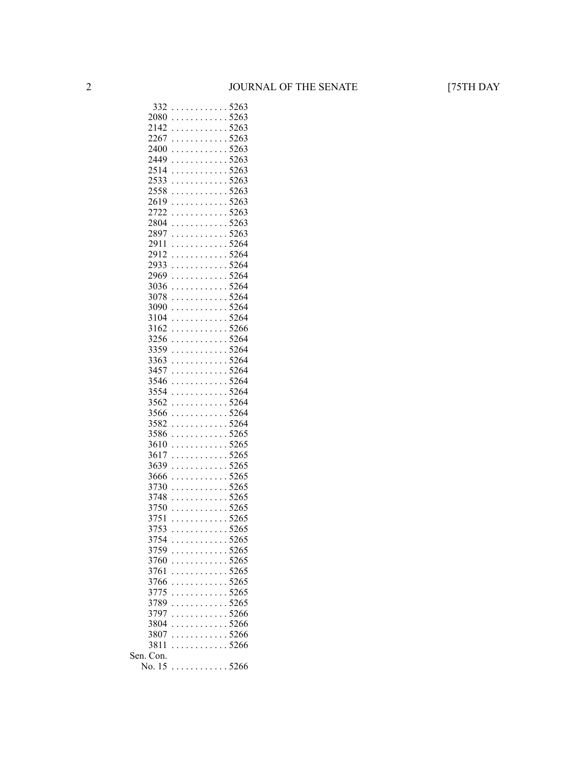| 332          | . |   |  |  |                      |                      | $\ddot{\phantom{0}}$ | 5263                               |
|--------------|---|---|--|--|----------------------|----------------------|----------------------|------------------------------------|
| 2080         | . |   |  |  |                      |                      |                      | .5263                              |
| 2142         | . |   |  |  |                      |                      |                      | 5263                               |
| 2267         |   |   |  |  |                      |                      |                      | $\cdots \cdots \cdots \cdots 5263$ |
| 2400         |   |   |  |  |                      |                      |                      | . 5263                             |
| 2449         | . |   |  |  |                      |                      |                      | .5263                              |
| 2514         | . |   |  |  |                      |                      |                      | .5263                              |
| 2533         | . |   |  |  |                      |                      |                      | .5263                              |
| 2558         | . |   |  |  |                      |                      |                      | 5263                               |
| 2619         | . |   |  |  |                      |                      |                      | 5263                               |
| 2722         | . |   |  |  |                      |                      |                      | 5263                               |
| 2804         | . |   |  |  |                      |                      |                      | .5263                              |
| 2897         |   |   |  |  |                      |                      |                      | . 5263                             |
| 2911         | . |   |  |  |                      |                      |                      | .5264                              |
| 2912         | . |   |  |  |                      |                      |                      | .5264                              |
| 2933         |   |   |  |  |                      |                      |                      | . 5264                             |
| 2969         |   |   |  |  |                      |                      |                      | . 5264                             |
| 3036         | . |   |  |  |                      |                      |                      | .5264                              |
| 3078         |   |   |  |  |                      |                      |                      | . 5264                             |
| 3090         | . |   |  |  |                      |                      |                      | .5264                              |
| 3104         | . |   |  |  |                      |                      | $\ddot{\phantom{0}}$ | 5264                               |
| 3162         | . |   |  |  |                      |                      |                      | 5266                               |
| 3256         | . |   |  |  |                      |                      |                      | 5264                               |
| 3359         | . |   |  |  |                      |                      |                      | .5264                              |
| 3363         |   |   |  |  |                      |                      |                      | . 5264                             |
| 3457         | . |   |  |  |                      |                      |                      | .5264                              |
| 3546         | . |   |  |  |                      |                      |                      | .5264                              |
| 3554         |   |   |  |  |                      |                      |                      | . 5264                             |
| 3562         |   |   |  |  |                      |                      |                      | . 5264                             |
| 3566         | . |   |  |  |                      |                      |                      | .5264                              |
| 3582         | . |   |  |  |                      |                      |                      | .5264                              |
| 3586         | . |   |  |  |                      |                      |                      | .5265                              |
| 3610         | . |   |  |  |                      |                      |                      | 5265                               |
| 3617         | . |   |  |  |                      |                      |                      | 5265                               |
| 3639         |   |   |  |  |                      |                      |                      | 5265                               |
| 3666         | . |   |  |  |                      |                      |                      | . 5265                             |
|              |   |   |  |  |                      |                      |                      | . 5265                             |
| 3730         |   |   |  |  |                      |                      |                      |                                    |
| 3748<br>3750 | . |   |  |  |                      |                      |                      | .5265<br>5265                      |
|              | . |   |  |  |                      |                      |                      | . 5265                             |
| 3751         |   |   |  |  |                      |                      |                      |                                    |
| 3753         | . |   |  |  |                      |                      |                      | 5265                               |
| 3754         | . |   |  |  |                      |                      |                      | . .5265                            |
| 3759         |   | . |  |  |                      | $\ddot{\phantom{a}}$ |                      | .5265                              |
| 3760         |   |   |  |  |                      |                      |                      | .5265                              |
| 3761         |   |   |  |  |                      |                      |                      | 5265                               |
| 3766         |   |   |  |  |                      |                      | $\ddot{\phantom{0}}$ | 5265                               |
| 3775         |   |   |  |  |                      |                      | $\ddot{\phantom{0}}$ | 5265                               |
| 3789         |   |   |  |  |                      |                      |                      | .5265                              |
| 3797         |   |   |  |  |                      |                      |                      | . 5266                             |
| 3804         |   |   |  |  | $\cdots$             |                      |                      | .5266                              |
| 3807         |   |   |  |  | $\ddot{\phantom{a}}$ | $\ddot{\phantom{0}}$ |                      | .5266                              |
| 3811         |   |   |  |  | $\ddot{\phantom{a}}$ | $\ddot{\phantom{a}}$ |                      | .5266                              |
| Sen. Con.    |   |   |  |  |                      |                      |                      |                                    |
| No. 15       |   |   |  |  |                      |                      |                      | . 5266                             |